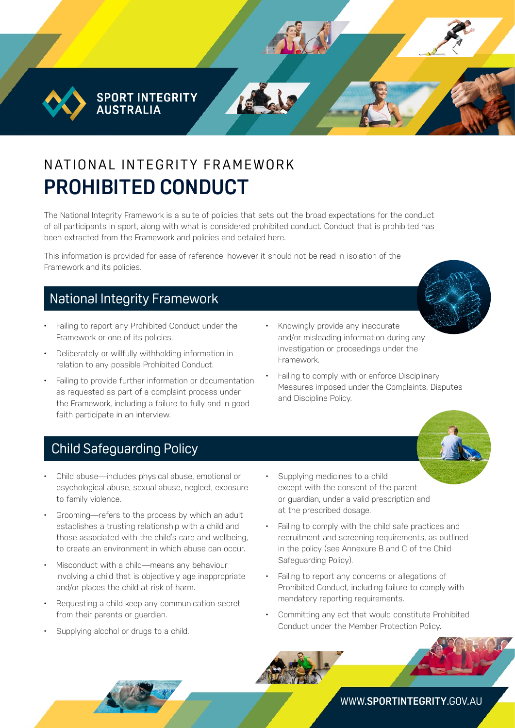**SPORT INTEGRITY AUSTRALIA** 

# N AT IONAL INTEGRITY FRAMEWORK **PROHIBITED CONDUCT**

The National Integrity Framework is a suite of policies that sets out the broad expectations for the conduct of all participants in sport, along with what is considered prohibited conduct. Conduct that is prohibited has been extracted from the Framework and policies and detailed here.

This information is provided for ease of reference, however it should not be read in isolation of the Framework and its policies.

### National Integrity Framework

- Failing to report any Prohibited Conduct under the Framework or one of its policies.
- Deliberately or willfully withholding information in relation to any possible Prohibited Conduct.
- Failing to provide further information or documentation as requested as part of a complaint process under the Framework, including a failure to fully and in good faith participate in an interview.
- Knowingly provide any inaccurate and/or misleading information during any investigation or proceedings under the Framework.
- Failing to comply with or enforce Disciplinary Measures imposed under the Complaints, Disputes and Discipline Policy.

### Child Safeguarding Policy

- Child abuse—includes physical abuse, emotional or psychological abuse, sexual abuse, neglect, exposure to family violence.
- Grooming—refers to the process by which an adult establishes a trusting relationship with a child and those associated with the child's care and wellbeing, to create an environment in which abuse can occur.
- Misconduct with a child—means any behaviour involving a child that is objectively age inappropriate and/or places the child at risk of harm.
- Requesting a child keep any communication secret from their parents or guardian.
- Supplying alcohol or drugs to a child.
- Supplying medicines to a child except with the consent of the parent or guardian, under a valid prescription and at the prescribed dosage.
- Failing to comply with the child safe practices and recruitment and screening requirements, as outlined in the policy (see Annexure B and C of the Child Safeguarding Policy).
- Failing to report any concerns or allegations of Prohibited Conduct, including failure to comply with mandatory reporting requirements.
- Committing any act that would constitute Prohibited Conduct under the Member Protection Policy.

WWW.**[SPORTINTEGRITY](http://www.sportintegrity.gov.au)**.GOV.AU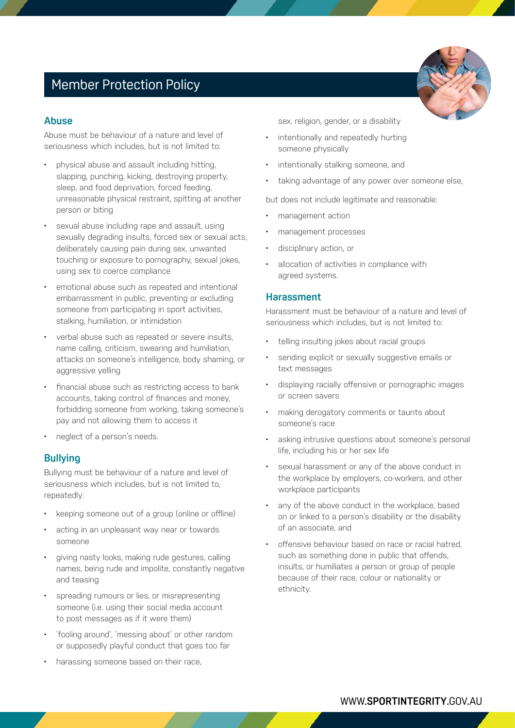# Member Protection Policy

#### **Abuse**

Abuse must be behaviour of a nature and level of seriousness which includes, but is not limited to:

- physical abuse and assault including hitting, slapping, punching, kicking, destroying property, sleep, and food deprivation, forced feeding, unreasonable physical restraint, spitting at another person or biting
- sexual abuse including rape and assault, using sexually degrading insults, forced sex or sexual acts, deliberately causing pain during sex, unwanted touching or exposure to pornography, sexual jokes, using sex to coerce compliance
- emotional abuse such as repeated and intentional embarrassment in public, preventing or excluding someone from participating in sport activities, stalking, humiliation, or intimidation
- verbal abuse such as repeated or severe insults, name calling, criticism, swearing and humiliation, attacks on someone's intelligence, body shaming, or aggressive yelling
- financial abuse such as restricting access to bank accounts, taking control of finances and money, forbidding someone from working, taking someone's pay and not allowing them to access it
- neglect of a person's needs.

#### **Bullying**

Bullying must be behaviour of a nature and level of seriousness which includes, but is not limited to, repeatedly:

- keeping someone out of a group (online or offline)
- acting in an unpleasant way near or towards someone
- giving nasty looks, making rude gestures, calling names, being rude and impolite, constantly negative and teasing
- spreading rumours or lies, or misrepresenting someone (i.e. using their social media account to post messages as if it were them)
- 'fooling around', 'messing about' or other random or supposedly playful conduct that goes too far
- harassing someone based on their race,

sex, religion, gender, or a disability

- intentionally and repeatedly hurting someone physically
- intentionally stalking someone, and
- taking advantage of any power over someone else,

but does not include legitimate and reasonable:

- management action
- management processes
- disciplinary action, or
- allocation of activities in compliance with agreed systems.

#### **Harassment**

Harassment must be behaviour of a nature and level of seriousness which includes, but is not limited to:

- telling insulting jokes about racial groups
- sending explicit or sexually suggestive emails or text messages
- displaying racially offensive or pornographic images or screen savers
- making derogatory comments or taunts about someone's race
- asking intrusive questions about someone's personal life, including his or her sex life
- sexual harassment or any of the above conduct in the workplace by employers, co-workers, and other workplace participants
- any of the above conduct in the workplace, based on or linked to a person's disability or the disability of an associate, and
- offensive behaviour based on race or racial hatred, such as something done in public that offends, insults, or humiliates a person or group of people because of their race, colour or nationality or ethnicity.

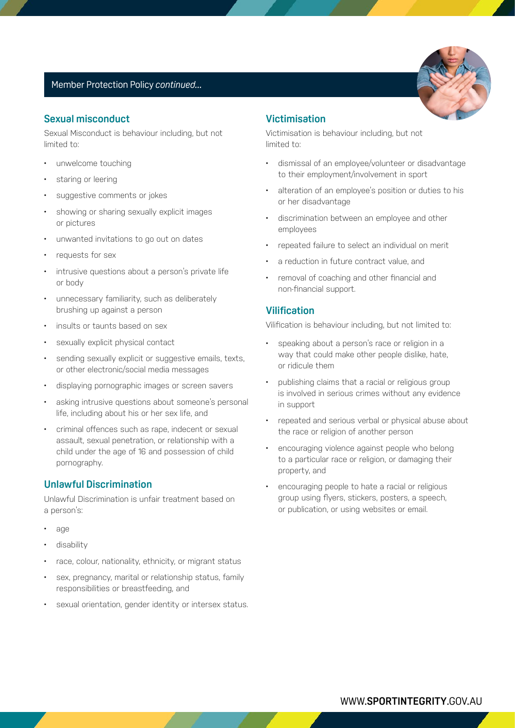#### Member Protection Policy *continued...*

#### **Sexual misconduct**

Sexual Misconduct is behaviour including, but not limited to:

- unwelcome touching
- staring or leering
- suggestive comments or jokes
- showing or sharing sexually explicit images or pictures
- unwanted invitations to go out on dates
- requests for sex
- intrusive questions about a person's private life or body
- unnecessary familiarity, such as deliberately brushing up against a person
- insults or taunts based on sex
- sexually explicit physical contact
- sending sexually explicit or suggestive emails, texts, or other electronic/social media messages
- displaying pornographic images or screen savers
- asking intrusive questions about someone's personal life, including about his or her sex life, and
- criminal offences such as rape, indecent or sexual assault, sexual penetration, or relationship with a child under the age of 16 and possession of child pornography.

#### **Unlawful Discrimination**

Unlawful Discrimination is unfair treatment based on a person's:

- age
- disability
- race, colour, nationality, ethnicity, or migrant status
- sex, pregnancy, marital or relationship status, family responsibilities or breastfeeding, and
- sexual orientation, gender identity or intersex status.

#### **Victimisation**

Victimisation is behaviour including, but not limited to:

- dismissal of an employee/volunteer or disadvantage to their employment/involvement in sport
- alteration of an employee's position or duties to his or her disadvantage
- discrimination between an employee and other employees
- repeated failure to select an individual on merit
- a reduction in future contract value, and
- removal of coaching and other financial and non-financial support.

#### **Vilification**

Vilification is behaviour including, but not limited to:

- speaking about a person's race or religion in a way that could make other people dislike, hate, or ridicule them
- publishing claims that a racial or religious group is involved in serious crimes without any evidence in support
- repeated and serious verbal or physical abuse about the race or religion of another person
- encouraging violence against people who belong to a particular race or religion, or damaging their property, and
- encouraging people to hate a racial or religious group using flyers, stickers, posters, a speech, or publication, or using websites or email.